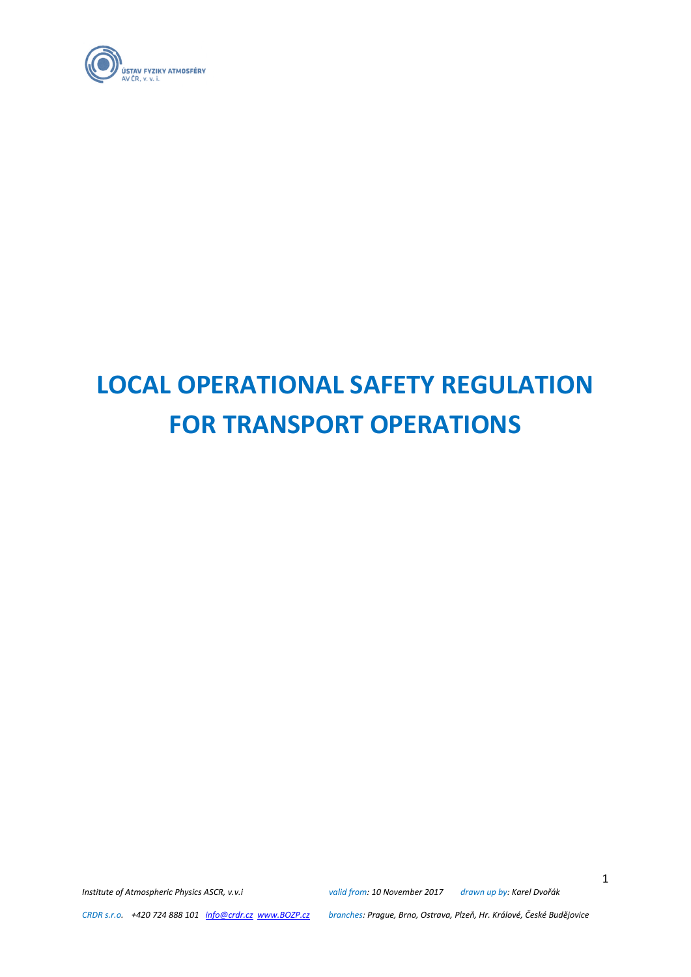

# **LOCAL OPERATIONAL SAFETY REGULATION FOR TRANSPORT OPERATIONS**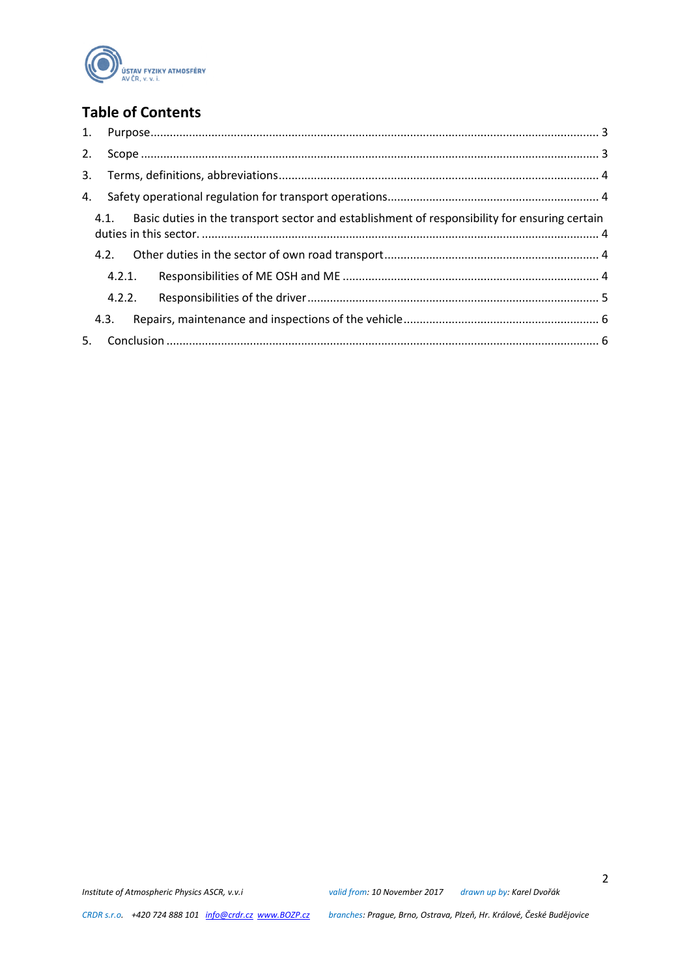

# **Table of Contents**

| 1. |                                                                                                       |  |  |  |  |
|----|-------------------------------------------------------------------------------------------------------|--|--|--|--|
| 2. |                                                                                                       |  |  |  |  |
| 3. |                                                                                                       |  |  |  |  |
|    |                                                                                                       |  |  |  |  |
|    | Basic duties in the transport sector and establishment of responsibility for ensuring certain<br>4.1. |  |  |  |  |
|    |                                                                                                       |  |  |  |  |
|    | 4.2.1.                                                                                                |  |  |  |  |
|    | 4.2.2.                                                                                                |  |  |  |  |
|    | 4.3.                                                                                                  |  |  |  |  |
| 5. |                                                                                                       |  |  |  |  |

2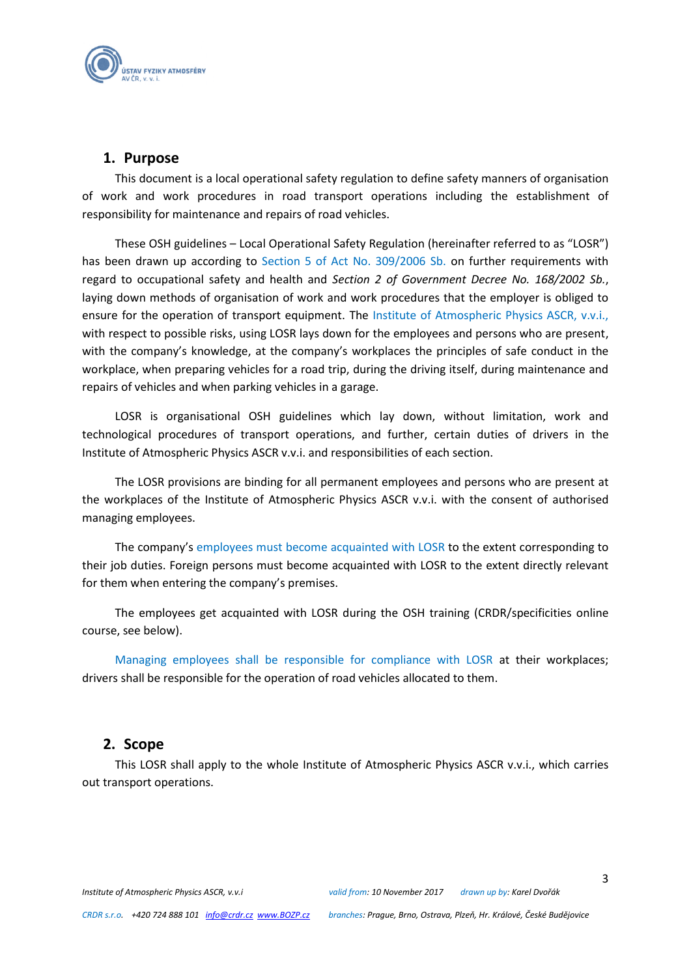

## <span id="page-2-0"></span>**1. Purpose**

This document is a local operational safety regulation to define safety manners of organisation of work and work procedures in road transport operations including the establishment of responsibility for maintenance and repairs of road vehicles.

These OSH guidelines – Local Operational Safety Regulation (hereinafter referred to as "LOSR") has been drawn up according to Section 5 of Act No. 309/2006 Sb. on further requirements with regard to occupational safety and health and *Section 2 of Government Decree No. 168/2002 Sb.*, laying down methods of organisation of work and work procedures that the employer is obliged to ensure for the operation of transport equipment. The Institute of Atmospheric Physics ASCR, v.v.i., with respect to possible risks, using LOSR lays down for the employees and persons who are present, with the company's knowledge, at the company's workplaces the principles of safe conduct in the workplace, when preparing vehicles for a road trip, during the driving itself, during maintenance and repairs of vehicles and when parking vehicles in a garage.

LOSR is organisational OSH guidelines which lay down, without limitation, work and technological procedures of transport operations, and further, certain duties of drivers in the Institute of Atmospheric Physics ASCR v.v.i. and responsibilities of each section.

The LOSR provisions are binding for all permanent employees and persons who are present at the workplaces of the Institute of Atmospheric Physics ASCR v.v.i. with the consent of authorised managing employees.

The company's employees must become acquainted with LOSR to the extent corresponding to their job duties. Foreign persons must become acquainted with LOSR to the extent directly relevant for them when entering the company's premises.

The employees get acquainted with LOSR during the OSH training (CRDR/specificities online course, see below).

Managing employees shall be responsible for compliance with LOSR at their workplaces; drivers shall be responsible for the operation of road vehicles allocated to them.

## <span id="page-2-1"></span>**2. Scope**

This LOSR shall apply to the whole Institute of Atmospheric Physics ASCR v.v.i., which carries out transport operations.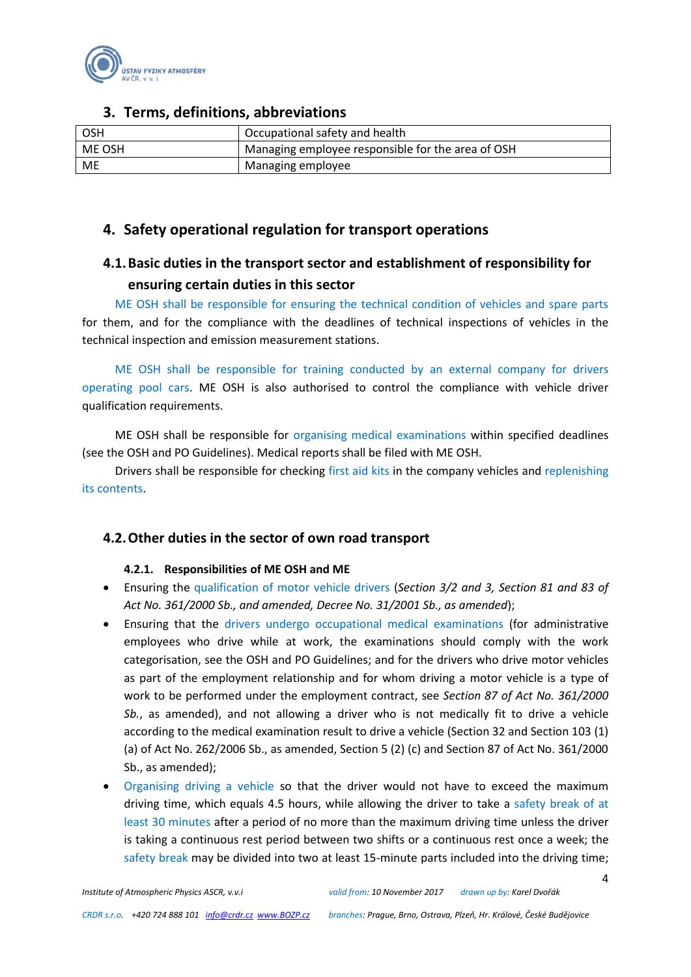

## <span id="page-3-0"></span>**3. Terms, definitions, abbreviations**

| OSH    | Occupational safety and health                    |
|--------|---------------------------------------------------|
| ME OSH | Managing employee responsible for the area of OSH |
| ME     | Managing employee                                 |

# <span id="page-3-1"></span>**4. Safety operational regulation for transport operations**

# <span id="page-3-2"></span>**4.1.Basic duties in the transport sector and establishment of responsibility for ensuring certain duties in this sector**

ME OSH shall be responsible for ensuring the technical condition of vehicles and spare parts for them, and for the compliance with the deadlines of technical inspections of vehicles in the technical inspection and emission measurement stations.

ME OSH shall be responsible for training conducted by an external company for drivers operating pool cars. ME OSH is also authorised to control the compliance with vehicle driver qualification requirements.

ME OSH shall be responsible for organising medical examinations within specified deadlines (see the OSH and PO Guidelines). Medical reports shall be filed with ME OSH.

Drivers shall be responsible for checking first aid kits in the company vehicles and replenishing its contents.

# <span id="page-3-4"></span><span id="page-3-3"></span>**4.2.Other duties in the sector of own road transport**

## **4.2.1. Responsibilities of ME OSH and ME**

- Ensuring the qualification of motor vehicle drivers (*Section 3/2 and 3, Section 81 and 83 of Act No. 361/2000 Sb., and amended, Decree No. 31/2001 Sb., as amended*);
- Ensuring that the drivers undergo occupational medical examinations (for administrative employees who drive while at work, the examinations should comply with the work categorisation, see the OSH and PO Guidelines; and for the drivers who drive motor vehicles as part of the employment relationship and for whom driving a motor vehicle is a type of work to be performed under the employment contract, see *Section 87 of Act No. 361/2000 Sb.*, as amended), and not allowing a driver who is not medically fit to drive a vehicle according to the medical examination result to drive a vehicle (Section 32 and Section 103 (1) (a) of Act No. 262/2006 Sb., as amended, Section 5 (2) (c) and Section 87 of Act No. 361/2000 Sb., as amended);
- Organising driving a vehicle so that the driver would not have to exceed the maximum driving time, which equals 4.5 hours, while allowing the driver to take a safety break of at least 30 minutes after a period of no more than the maximum driving time unless the driver is taking a continuous rest period between two shifts or a continuous rest once a week; the safety break may be divided into two at least 15-minute parts included into the driving time;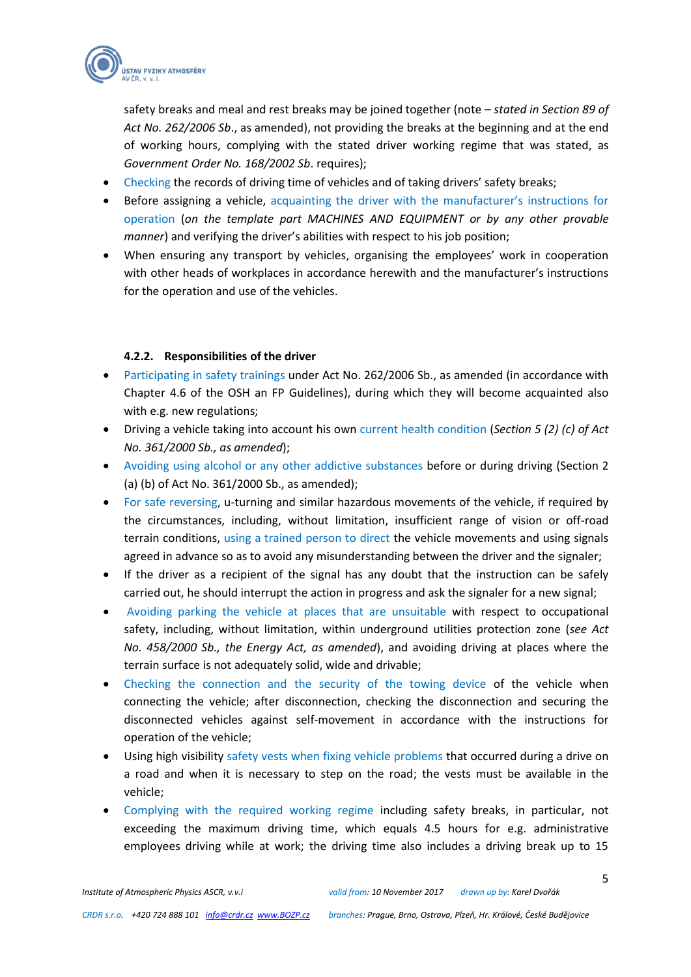

safety breaks and meal and rest breaks may be joined together (note – *stated in Section 89 of Act No. 262/2006 Sb*., as amended), not providing the breaks at the beginning and at the end of working hours, complying with the stated driver working regime that was stated, as *Government Order No. 168/2002 Sb*. requires);

- Checking the records of driving time of vehicles and of taking drivers' safety breaks;
- Before assigning a vehicle, acquainting the driver with the manufacturer's instructions for operation (*on the template part MACHINES AND EQUIPMENT or by any other provable manner*) and verifying the driver's abilities with respect to his job position;
- When ensuring any transport by vehicles, organising the employees' work in cooperation with other heads of workplaces in accordance herewith and the manufacturer's instructions for the operation and use of the vehicles.

#### **4.2.2. Responsibilities of the driver**

- <span id="page-4-0"></span> Participating in safety trainings under Act No. 262/2006 Sb., as amended (in accordance with Chapter 4.6 of the OSH an FP Guidelines), during which they will become acquainted also with e.g. new regulations;
- Driving a vehicle taking into account his own current health condition (*Section 5 (2) (c) of Act No. 361/2000 Sb., as amended*);
- Avoiding using alcohol or any other addictive substances before or during driving (Section 2 (a) (b) of Act No. 361/2000 Sb., as amended);
- For safe reversing, u-turning and similar hazardous movements of the vehicle, if required by the circumstances, including, without limitation, insufficient range of vision or off-road terrain conditions, using a trained person to direct the vehicle movements and using signals agreed in advance so as to avoid any misunderstanding between the driver and the signaler;
- If the driver as a recipient of the signal has any doubt that the instruction can be safely carried out, he should interrupt the action in progress and ask the signaler for a new signal;
- Avoiding parking the vehicle at places that are unsuitable with respect to occupational safety, including, without limitation, within underground utilities protection zone (*see Act No. 458/2000 Sb., the Energy Act, as amended*), and avoiding driving at places where the terrain surface is not adequately solid, wide and drivable;
- Checking the connection and the security of the towing device of the vehicle when connecting the vehicle; after disconnection, checking the disconnection and securing the disconnected vehicles against self-movement in accordance with the instructions for operation of the vehicle;
- Using high visibility safety vests when fixing vehicle problems that occurred during a drive on a road and when it is necessary to step on the road; the vests must be available in the vehicle;
- Complying with the required working regime including safety breaks, in particular, not exceeding the maximum driving time, which equals 4.5 hours for e.g. administrative employees driving while at work; the driving time also includes a driving break up to 15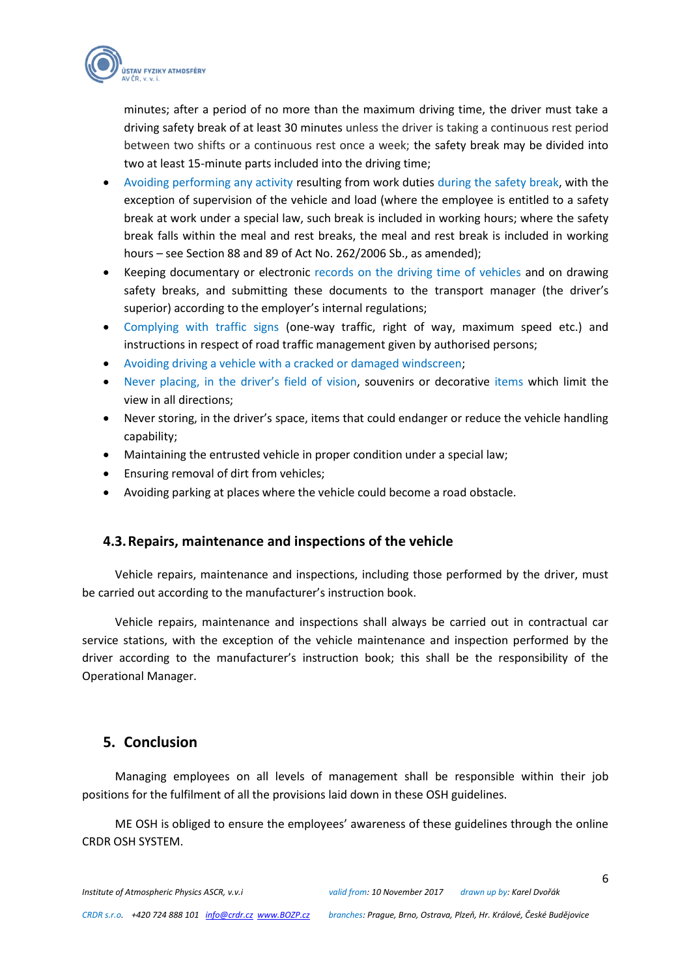

minutes; after a period of no more than the maximum driving time, the driver must take a driving safety break of at least 30 minutes unless the driver is taking a continuous rest period between two shifts or a continuous rest once a week; the safety break may be divided into two at least 15-minute parts included into the driving time;

- Avoiding performing any activity resulting from work duties during the safety break, with the exception of supervision of the vehicle and load (where the employee is entitled to a safety break at work under a special law, such break is included in working hours; where the safety break falls within the meal and rest breaks, the meal and rest break is included in working hours – see Section 88 and 89 of Act No. 262/2006 Sb., as amended);
- Keeping documentary or electronic records on the driving time of vehicles and on drawing safety breaks, and submitting these documents to the transport manager (the driver's superior) according to the employer's internal regulations;
- Complying with traffic signs (one-way traffic, right of way, maximum speed etc.) and instructions in respect of road traffic management given by authorised persons;
- Avoiding driving a vehicle with a cracked or damaged windscreen;
- Never placing, in the driver's field of vision, souvenirs or decorative items which limit the view in all directions;
- Never storing, in the driver's space, items that could endanger or reduce the vehicle handling capability;
- Maintaining the entrusted vehicle in proper condition under a special law;
- Ensuring removal of dirt from vehicles;
- Avoiding parking at places where the vehicle could become a road obstacle.

## <span id="page-5-0"></span>**4.3.Repairs, maintenance and inspections of the vehicle**

Vehicle repairs, maintenance and inspections, including those performed by the driver, must be carried out according to the manufacturer's instruction book.

Vehicle repairs, maintenance and inspections shall always be carried out in contractual car service stations, with the exception of the vehicle maintenance and inspection performed by the driver according to the manufacturer's instruction book; this shall be the responsibility of the Operational Manager.

# <span id="page-5-1"></span>**5. Conclusion**

Managing employees on all levels of management shall be responsible within their job positions for the fulfilment of all the provisions laid down in these OSH guidelines.

ME OSH is obliged to ensure the employees' awareness of these guidelines through the online CRDR OSH SYSTEM.